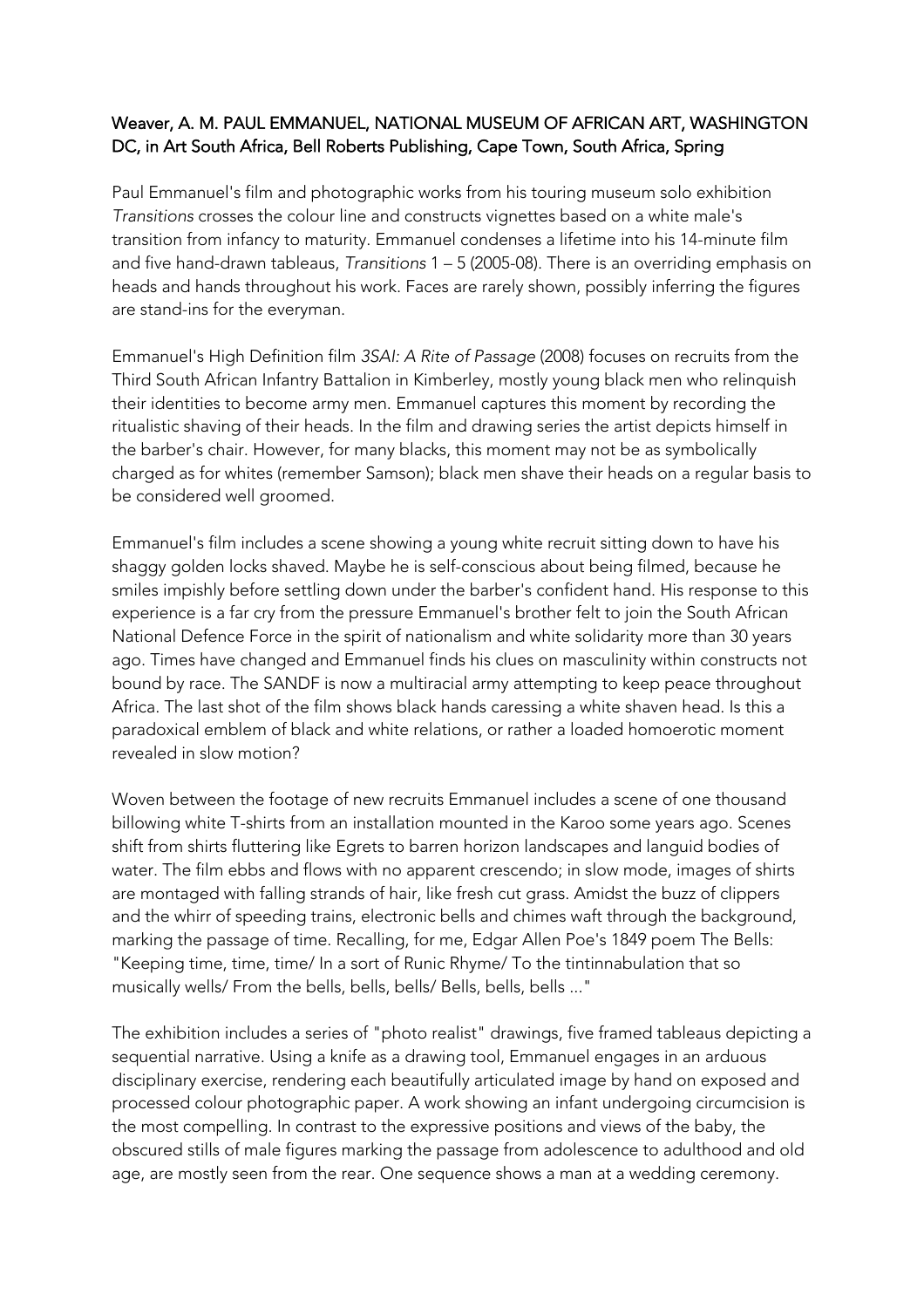## Weaver, A. M. PAUL EMMANUEL, NATIONAL MUSEUM OF AFRICAN ART, WASHINGTON DC, in Art South Africa, Bell Roberts Publishing, Cape Town, South Africa, Spring

Paul Emmanuel's film and photographic works from his touring museum solo exhibition *Transitions* crosses the colour line and constructs vignettes based on a white male's transition from infancy to maturity. Emmanuel condenses a lifetime into his 14-minute film and five hand-drawn tableaus, *Transitions* 1 – 5 (2005-08). There is an overriding emphasis on heads and hands throughout his work. Faces are rarely shown, possibly inferring the figures are stand-ins for the everyman.

Emmanuel's High Definition film *3SAI: A Rite of Passage* (2008) focuses on recruits from the Third South African Infantry Battalion in Kimberley, mostly young black men who relinquish their identities to become army men. Emmanuel captures this moment by recording the ritualistic shaving of their heads. In the film and drawing series the artist depicts himself in the barber's chair. However, for many blacks, this moment may not be as symbolically charged as for whites (remember Samson); black men shave their heads on a regular basis to be considered well groomed.

Emmanuel's film includes a scene showing a young white recruit sitting down to have his shaggy golden locks shaved. Maybe he is self-conscious about being filmed, because he smiles impishly before settling down under the barber's confident hand. His response to this experience is a far cry from the pressure Emmanuel's brother felt to join the South African National Defence Force in the spirit of nationalism and white solidarity more than 30 years ago. Times have changed and Emmanuel finds his clues on masculinity within constructs not bound by race. The SANDF is now a multiracial army attempting to keep peace throughout Africa. The last shot of the film shows black hands caressing a white shaven head. Is this a paradoxical emblem of black and white relations, or rather a loaded homoerotic moment revealed in slow motion?

Woven between the footage of new recruits Emmanuel includes a scene of one thousand billowing white T-shirts from an installation mounted in the Karoo some years ago. Scenes shift from shirts fluttering like Egrets to barren horizon landscapes and languid bodies of water. The film ebbs and flows with no apparent crescendo; in slow mode, images of shirts are montaged with falling strands of hair, like fresh cut grass. Amidst the buzz of clippers and the whirr of speeding trains, electronic bells and chimes waft through the background, marking the passage of time. Recalling, for me, Edgar Allen Poe's 1849 poem The Bells: "Keeping time, time, time/ In a sort of Runic Rhyme/ To the tintinnabulation that so musically wells/ From the bells, bells, bells/ Bells, bells, bells ..."

The exhibition includes a series of "photo realist" drawings, five framed tableaus depicting a sequential narrative. Using a knife as a drawing tool, Emmanuel engages in an arduous disciplinary exercise, rendering each beautifully articulated image by hand on exposed and processed colour photographic paper. A work showing an infant undergoing circumcision is the most compelling. In contrast to the expressive positions and views of the baby, the obscured stills of male figures marking the passage from adolescence to adulthood and old age, are mostly seen from the rear. One sequence shows a man at a wedding ceremony.